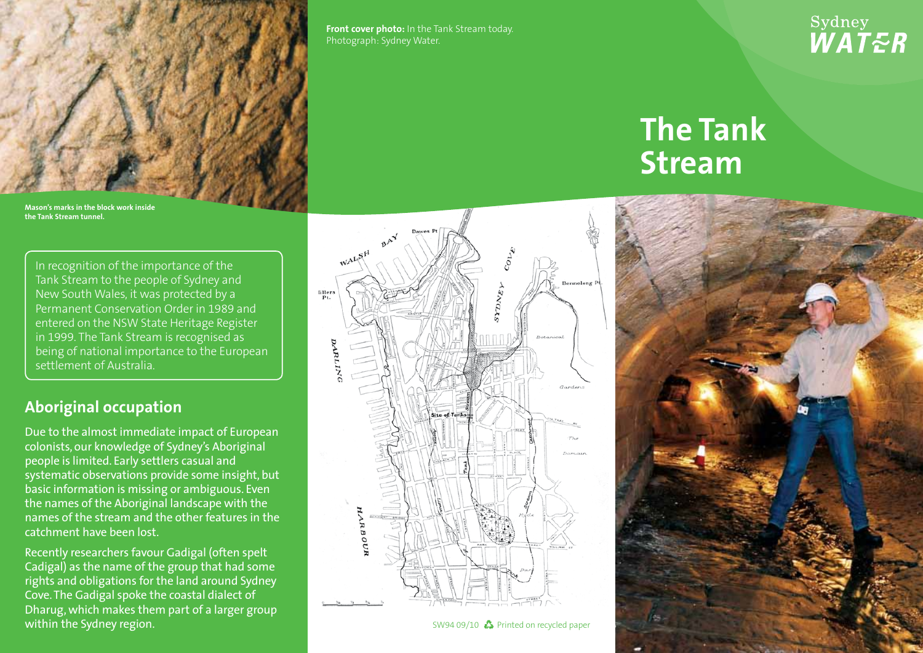

**Front cover photo:** In the Tank Stream today. Photograph: Sydney Water.

## Sydney<br>*WAT<del>E</del>R*

## **The Tank Stream**

**Mason's marks in the block work inside the Tank Stream tunnel.**

In recognition of the importance of the Tank Stream to the people of Sydney and New South Wales, it was protected by a Permanent Conservation Order in 1989 and entered on the NSW State Heritage Register in 1999. The Tank Stream is recognised as being of national importance to the European settlement of Australia.

## **Aboriginal occupation**

Due to the almost immediate impact of European colonists, our knowledge of Sydney's Aboriginal people is limited. Early settlers casual and systematic observations provide some insight, but basic information is missing or ambiguous. Even the names of the Aboriginal landscape with the names of the stream and the other features in the catchment have been lost.

Recently researchers favour Gadigal (often spelt Cadigal) as the name of the group that had some rights and obligations for the land around Sydney Cove. The Gadigal spoke the coastal dialect of Dharug, which makes them part of a larger group within the Sydney region.



SW94 09/10  $\clubsuit$  Printed on recycled paper